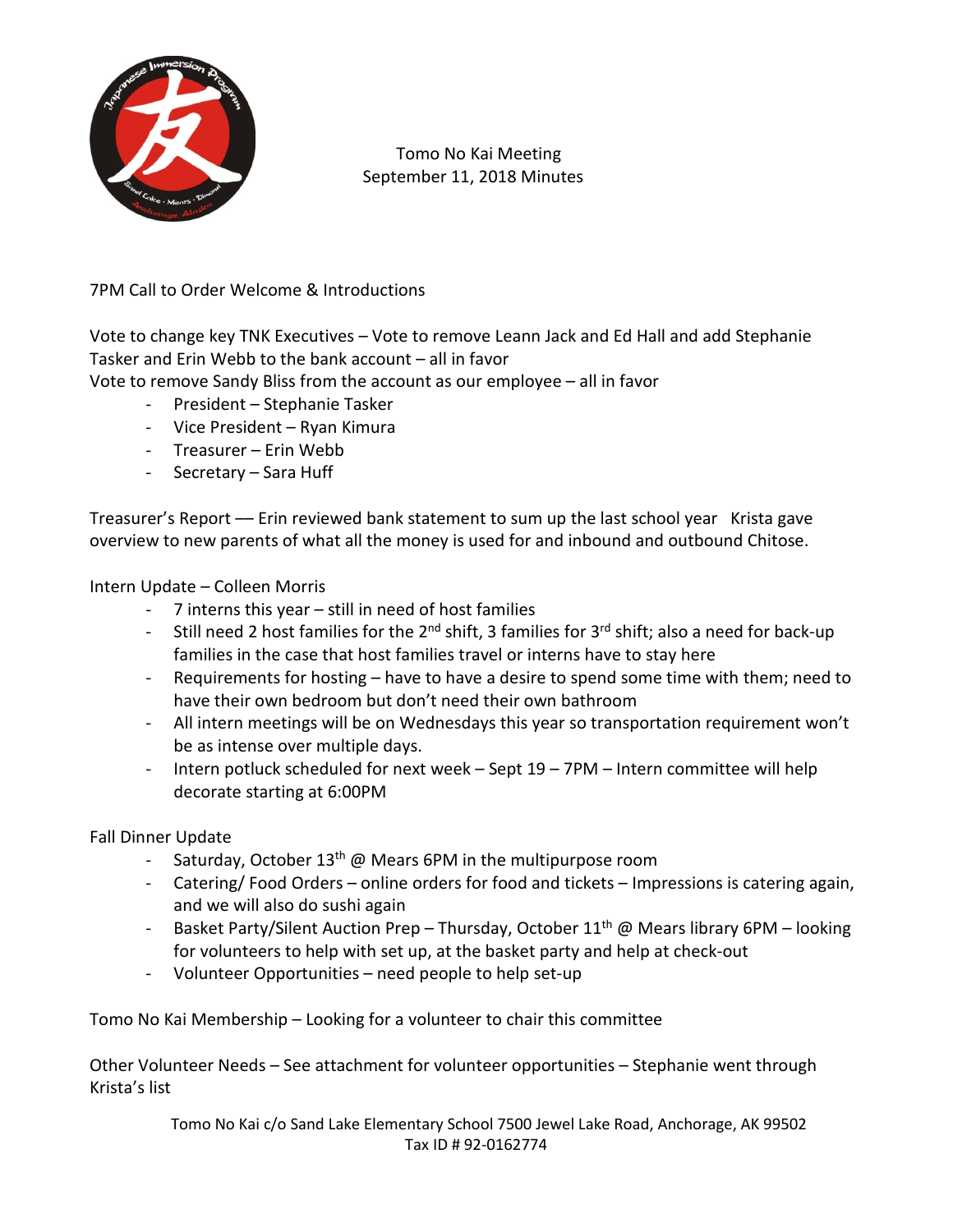

 Tomo No Kai Meeting September 11, 2018 Minutes

7PM Call to Order Welcome & Introductions

Vote to change key TNK Executives – Vote to remove Leann Jack and Ed Hall and add Stephanie Tasker and Erin Webb to the bank account – all in favor

Vote to remove Sandy Bliss from the account as our employee – all in favor

- President Stephanie Tasker
- Vice President Ryan Kimura
- Treasurer Erin Webb
- Secretary Sara Huff

Treasurer's Report –– Erin reviewed bank statement to sum up the last school year Krista gave overview to new parents of what all the money is used for and inbound and outbound Chitose.

Intern Update – Colleen Morris

- 7 interns this year still in need of host families
- Still need 2 host families for the  $2^{nd}$  shift, 3 families for  $3^{rd}$  shift; also a need for back-up families in the case that host families travel or interns have to stay here
- Requirements for hosting have to have a desire to spend some time with them; need to have their own bedroom but don't need their own bathroom
- All intern meetings will be on Wednesdays this year so transportation requirement won't be as intense over multiple days.
- Intern potluck scheduled for next week Sept 19 7PM Intern committee will help decorate starting at 6:00PM

Fall Dinner Update

- Saturday, October  $13<sup>th</sup>$  @ Mears 6PM in the multipurpose room
- Catering/ Food Orders online orders for food and tickets Impressions is catering again, and we will also do sushi again
- Basket Party/Silent Auction Prep Thursday, October  $11<sup>th</sup>$  @ Mears library 6PM looking for volunteers to help with set up, at the basket party and help at check-out
- Volunteer Opportunities need people to help set-up

Tomo No Kai Membership – Looking for a volunteer to chair this committee

Other Volunteer Needs – See attachment for volunteer opportunities – Stephanie went through Krista's list

> Tomo No Kai c/o Sand Lake Elementary School 7500 Jewel Lake Road, Anchorage, AK 99502 Tax ID # 92-0162774